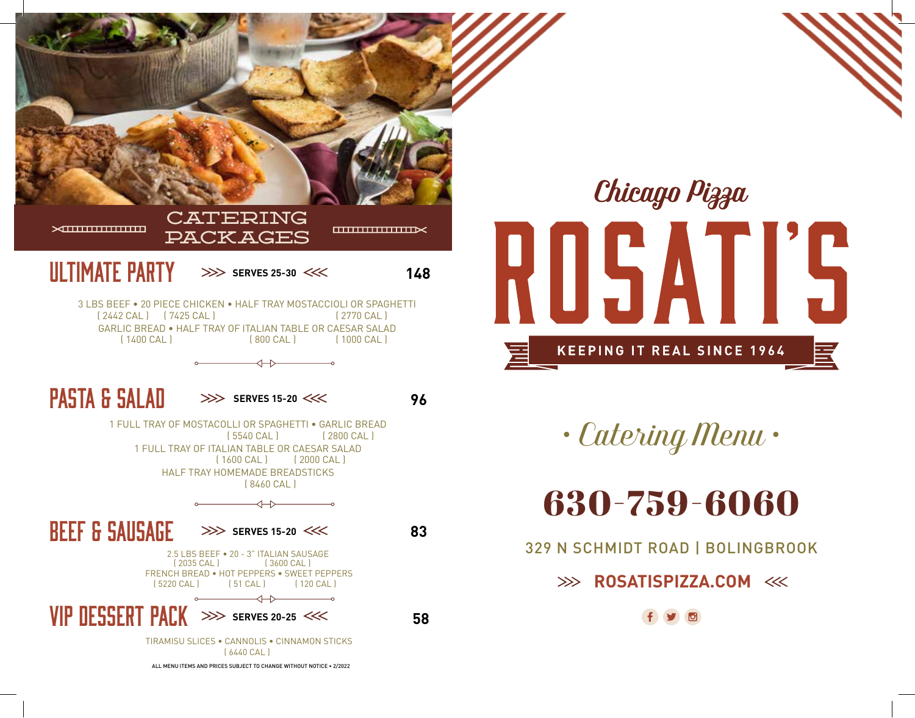



*• Catering Menu •*

# 630-759-6060

329 N SCHMIDT ROAD | BOLINGBROOK

## **ROSATISPIZZA.COM**